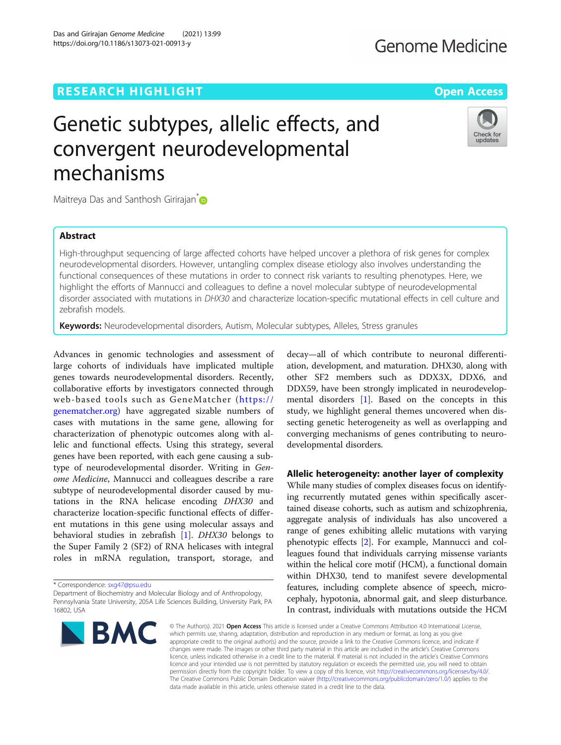## **RESEARCH HIGHLIGHT CONSUMING THE OPEN ACCESS**

## **Genome Medicine**

# Genetic subtypes, allelic effects, and convergent neurodevelopmental mechanisms



Maitreya Das and Santhosh Girirajan<sup>[\\*](http://orcid.org/0000-0003-0598-4945)</sup>

## Abstract

High-throughput sequencing of large affected cohorts have helped uncover a plethora of risk genes for complex neurodevelopmental disorders. However, untangling complex disease etiology also involves understanding the functional consequences of these mutations in order to connect risk variants to resulting phenotypes. Here, we highlight the efforts of Mannucci and colleagues to define a novel molecular subtype of neurodevelopmental disorder associated with mutations in DHX30 and characterize location-specific mutational effects in cell culture and zebrafish models.

Keywords: Neurodevelopmental disorders, Autism, Molecular subtypes, Alleles, Stress granules

Advances in genomic technologies and assessment of large cohorts of individuals have implicated multiple genes towards neurodevelopmental disorders. Recently, collaborative efforts by investigators connected through web-based tools such as GeneMatcher ([https://](https://genematcher.org) [genematcher.org\)](https://genematcher.org) have aggregated sizable numbers of cases with mutations in the same gene, allowing for characterization of phenotypic outcomes along with allelic and functional effects. Using this strategy, several genes have been reported, with each gene causing a subtype of neurodevelopmental disorder. Writing in Genome Medicine, Mannucci and colleagues describe a rare subtype of neurodevelopmental disorder caused by mutations in the RNA helicase encoding DHX30 and characterize location-specific functional effects of different mutations in this gene using molecular assays and behavioral studies in zebrafish [\[1\]](#page-2-0). DHX30 belongs to the Super Family 2 (SF2) of RNA helicases with integral roles in mRNA regulation, transport, storage, and

\* Correspondence: [sxg47@psu.edu](mailto:sxg47@psu.edu)

Department of Biochemistry and Molecular Biology and of Anthropology, Pennsylvania State University, 205A Life Sciences Building, University Park, PA 16802, USA



decay—all of which contribute to neuronal differentiation, development, and maturation. DHX30, along with other SF2 members such as DDX3X, DDX6, and DDX59, have been strongly implicated in neurodevelopmental disorders [[1\]](#page-2-0). Based on the concepts in this study, we highlight general themes uncovered when dissecting genetic heterogeneity as well as overlapping and converging mechanisms of genes contributing to neurodevelopmental disorders.

## Allelic heterogeneity: another layer of complexity

While many studies of complex diseases focus on identifying recurrently mutated genes within specifically ascertained disease cohorts, such as autism and schizophrenia, aggregate analysis of individuals has also uncovered a range of genes exhibiting allelic mutations with varying phenotypic effects [\[2](#page-2-0)]. For example, Mannucci and colleagues found that individuals carrying missense variants within the helical core motif (HCM), a functional domain within DHX30, tend to manifest severe developmental features, including complete absence of speech, microcephaly, hypotonia, abnormal gait, and sleep disturbance. In contrast, individuals with mutations outside the HCM

© The Author(s), 2021 **Open Access** This article is licensed under a Creative Commons Attribution 4.0 International License, which permits use, sharing, adaptation, distribution and reproduction in any medium or format, as long as you give appropriate credit to the original author(s) and the source, provide a link to the Creative Commons licence, and indicate if changes were made. The images or other third party material in this article are included in the article's Creative Commons licence, unless indicated otherwise in a credit line to the material. If material is not included in the article's Creative Commons licence and your intended use is not permitted by statutory regulation or exceeds the permitted use, you will need to obtain permission directly from the copyright holder. To view a copy of this licence, visit [http://creativecommons.org/licenses/by/4.0/.](http://creativecommons.org/licenses/by/4.0/) The Creative Commons Public Domain Dedication waiver [\(http://creativecommons.org/publicdomain/zero/1.0/](http://creativecommons.org/publicdomain/zero/1.0/)) applies to the data made available in this article, unless otherwise stated in a credit line to the data.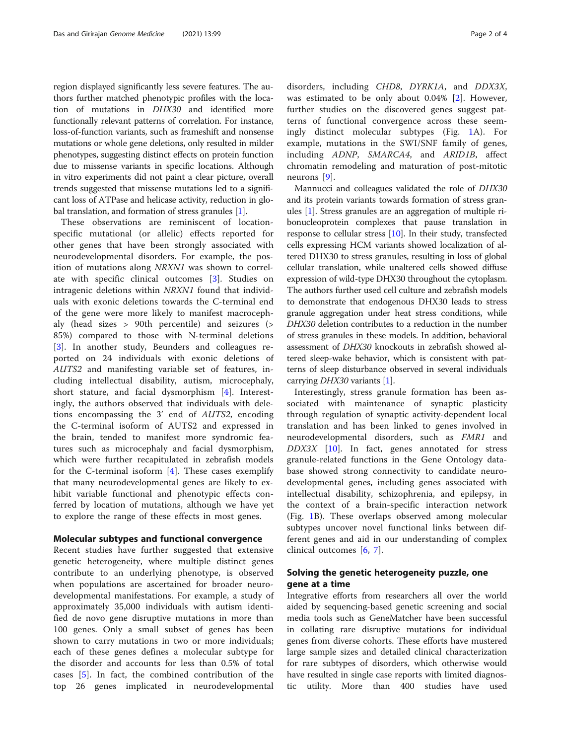region displayed significantly less severe features. The authors further matched phenotypic profiles with the location of mutations in DHX30 and identified more functionally relevant patterns of correlation. For instance, loss-of-function variants, such as frameshift and nonsense mutations or whole gene deletions, only resulted in milder phenotypes, suggesting distinct effects on protein function due to missense variants in specific locations. Although in vitro experiments did not paint a clear picture, overall trends suggested that missense mutations led to a significant loss of ATPase and helicase activity, reduction in glo-bal translation, and formation of stress granules [[1](#page-2-0)].

These observations are reminiscent of locationspecific mutational (or allelic) effects reported for other genes that have been strongly associated with neurodevelopmental disorders. For example, the position of mutations along NRXN1 was shown to correlate with specific clinical outcomes [[3\]](#page-2-0). Studies on intragenic deletions within NRXN1 found that individuals with exonic deletions towards the C-terminal end of the gene were more likely to manifest macrocephaly (head sizes > 90th percentile) and seizures (> 85%) compared to those with N-terminal deletions [[3\]](#page-2-0). In another study, Beunders and colleagues reported on 24 individuals with exonic deletions of AUTS2 and manifesting variable set of features, including intellectual disability, autism, microcephaly, short stature, and facial dysmorphism [[4\]](#page-2-0). Interestingly, the authors observed that individuals with deletions encompassing the 3' end of AUTS2, encoding the C-terminal isoform of AUTS2 and expressed in the brain, tended to manifest more syndromic features such as microcephaly and facial dysmorphism, which were further recapitulated in zebrafish models for the C-terminal isoform  $[4]$  $[4]$ . These cases exemplify that many neurodevelopmental genes are likely to exhibit variable functional and phenotypic effects conferred by location of mutations, although we have yet to explore the range of these effects in most genes.

### Molecular subtypes and functional convergence

Recent studies have further suggested that extensive genetic heterogeneity, where multiple distinct genes contribute to an underlying phenotype, is observed when populations are ascertained for broader neurodevelopmental manifestations. For example, a study of approximately 35,000 individuals with autism identified de novo gene disruptive mutations in more than 100 genes. Only a small subset of genes has been shown to carry mutations in two or more individuals; each of these genes defines a molecular subtype for the disorder and accounts for less than 0.5% of total cases [[5\]](#page-2-0). In fact, the combined contribution of the top 26 genes implicated in neurodevelopmental

disorders, including CHD8, DYRK1A, and DDX3X, was estimated to be only about 0.04% [[2\]](#page-2-0). However, further studies on the discovered genes suggest patterns of functional convergence across these seemingly distinct molecular subtypes (Fig. [1A](#page-2-0)). For example, mutations in the SWI/SNF family of genes, including ADNP, SMARCA4, and ARID1B, affect chromatin remodeling and maturation of post-mitotic neurons [[9\]](#page-3-0).

Mannucci and colleagues validated the role of DHX30 and its protein variants towards formation of stress granules [[1\]](#page-2-0). Stress granules are an aggregation of multiple ribonucleoprotein complexes that pause translation in response to cellular stress [[10](#page-3-0)]. In their study, transfected cells expressing HCM variants showed localization of altered DHX30 to stress granules, resulting in loss of global cellular translation, while unaltered cells showed diffuse expression of wild-type DHX30 throughout the cytoplasm. The authors further used cell culture and zebrafish models to demonstrate that endogenous DHX30 leads to stress granule aggregation under heat stress conditions, while DHX30 deletion contributes to a reduction in the number of stress granules in these models. In addition, behavioral assessment of DHX30 knockouts in zebrafish showed altered sleep-wake behavior, which is consistent with patterns of sleep disturbance observed in several individuals carrying DHX30 variants [\[1](#page-2-0)].

Interestingly, stress granule formation has been associated with maintenance of synaptic plasticity through regulation of synaptic activity-dependent local translation and has been linked to genes involved in neurodevelopmental disorders, such as FMR1 and DDX3X [\[10](#page-3-0)]. In fact, genes annotated for stress granule-related functions in the Gene Ontology database showed strong connectivity to candidate neurodevelopmental genes, including genes associated with intellectual disability, schizophrenia, and epilepsy, in the context of a brain-specific interaction network (Fig. [1](#page-2-0)B). These overlaps observed among molecular subtypes uncover novel functional links between different genes and aid in our understanding of complex clinical outcomes [[6,](#page-2-0) [7\]](#page-2-0).

## Solving the genetic heterogeneity puzzle, one gene at a time

Integrative efforts from researchers all over the world aided by sequencing-based genetic screening and social media tools such as GeneMatcher have been successful in collating rare disruptive mutations for individual genes from diverse cohorts. These efforts have mustered large sample sizes and detailed clinical characterization for rare subtypes of disorders, which otherwise would have resulted in single case reports with limited diagnostic utility. More than 400 studies have used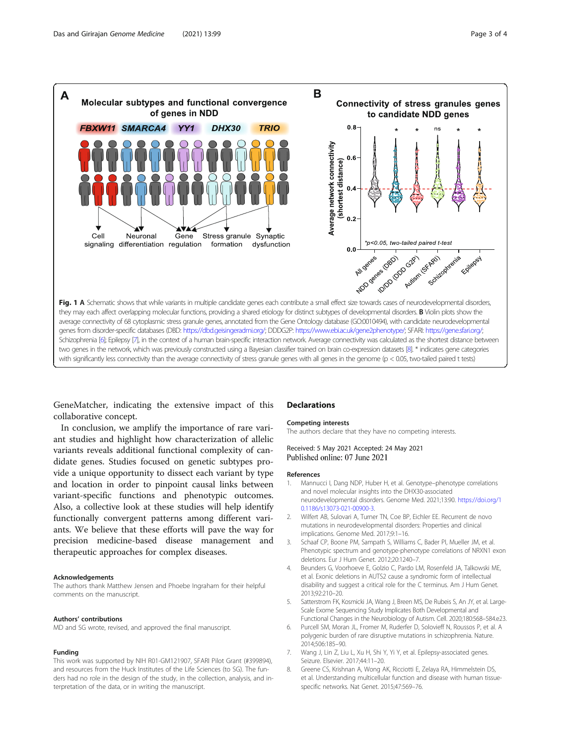<span id="page-2-0"></span>

GeneMatcher, indicating the extensive impact of this collaborative concept.

In conclusion, we amplify the importance of rare variant studies and highlight how characterization of allelic variants reveals additional functional complexity of candidate genes. Studies focused on genetic subtypes provide a unique opportunity to dissect each variant by type and location in order to pinpoint causal links between variant-specific functions and phenotypic outcomes. Also, a collective look at these studies will help identify functionally convergent patterns among different variants. We believe that these efforts will pave the way for precision medicine-based disease management and therapeutic approaches for complex diseases.

#### Acknowledgements

The authors thank Matthew Jensen and Phoebe Ingraham for their helpful comments on the manuscript.

#### Authors' contributions

MD and SG wrote, revised, and approved the final manuscript.

#### Funding

This work was supported by NIH R01-GM121907, SFARI Pilot Grant (#399894), and resources from the Huck Institutes of the Life Sciences (to SG). The funders had no role in the design of the study, in the collection, analysis, and interpretation of the data, or in writing the manuscript.

## Declarations

#### Competing interests

The authors declare that they have no competing interests.

#### Received: 5 May 2021 Accepted: 24 May 2021 Published online: 07 June 2021

#### References

- 1. Mannucci I, Dang NDP, Huber H, et al. Genotype–phenotype correlations and novel molecular insights into the DHX30-associated neurodevelopmental disorders. Genome Med. 2021;13:90. [https://doi.org/1](https://doi.org/10.1186/s13073-021-00900-3) [0.1186/s13073-021-00900-3](https://doi.org/10.1186/s13073-021-00900-3).
- 2. Wilfert AB, Sulovari A, Turner TN, Coe BP, Eichler EE. Recurrent de novo mutations in neurodevelopmental disorders: Properties and clinical implications. Genome Med. 2017;9:1–16.
- 3. Schaaf CP, Boone PM, Sampath S, Williams C, Bader PI, Mueller JM, et al. Phenotypic spectrum and genotype-phenotype correlations of NRXN1 exon deletions. Eur J Hum Genet. 2012;20:1240–7.
- 4. Beunders G, Voorhoeve E, Golzio C, Pardo LM, Rosenfeld JA, Talkowski ME, et al. Exonic deletions in AUTS2 cause a syndromic form of intellectual disability and suggest a critical role for the C terminus. Am J Hum Genet. 2013;92:210–20.
- 5. Satterstrom FK, Kosmicki JA, Wang J, Breen MS, De Rubeis S, An JY, et al. Large-Scale Exome Sequencing Study Implicates Both Developmental and Functional Changes in the Neurobiology of Autism. Cell. 2020;180:568–584.e23.
- 6. Purcell SM, Moran JL, Fromer M, Ruderfer D, Solovieff N, Roussos P, et al. A polygenic burden of rare disruptive mutations in schizophrenia. Nature. 2014;506:185–90.
- 7. Wang J, Lin Z, Liu L, Xu H, Shi Y, Yi Y, et al. Epilepsy-associated genes. Seizure. Elsevier. 2017;44:11–20.
- 8. Greene CS, Krishnan A, Wong AK, Ricciotti E, Zelaya RA, Himmelstein DS, et al. Understanding multicellular function and disease with human tissuespecific networks. Nat Genet. 2015;47:569–76.